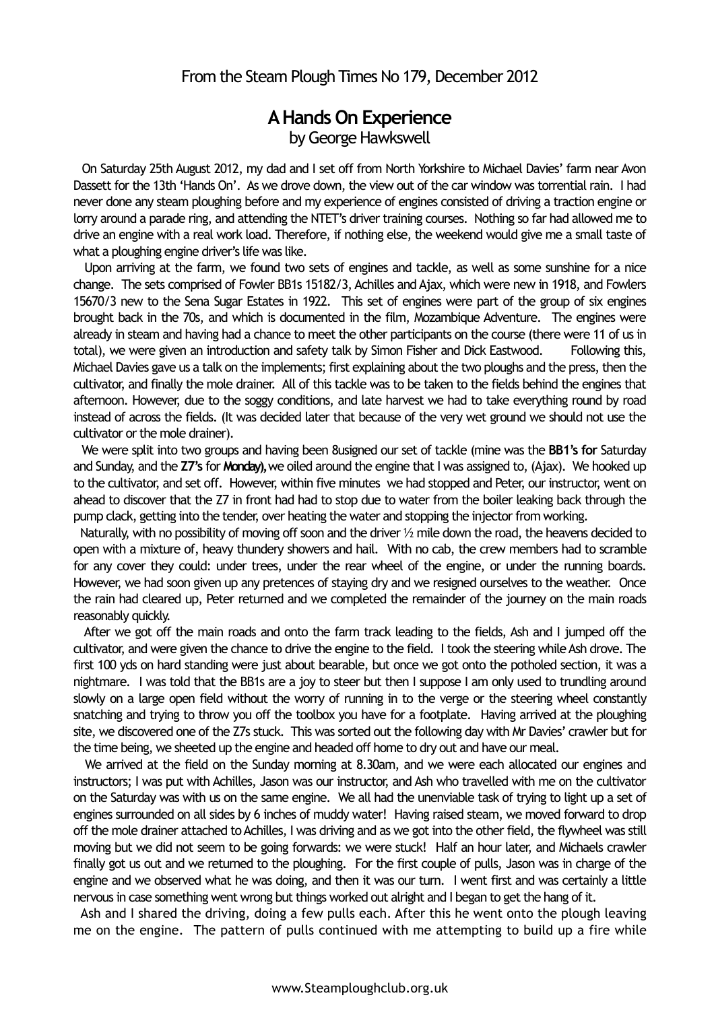## **A Hands On Experience**  by George Hawkswell

 On Saturday 25th August 2012, my dad and I set off from North Yorkshire to Michael Davies' farm near Avon Dassett for the 13th 'Hands On'. As we drove down, the view out of the car window was torrential rain. I had never done any steam ploughing before and my experience of engines consisted of driving a traction engine or lorry around a parade ring, and attending the NTET's driver training courses. Nothing so far had allowed me to drive an engine with a real work load. Therefore, if nothing else, the weekend would give me a small taste of what a ploughing engine driver's life was like.

 Upon arriving at the farm, we found two sets of engines and tackle, as well as some sunshine for a nice change. The sets comprised of Fowler BB1s 15182/3, Achilles and Ajax, which were new in 1918, and Fowlers 15670/3 new to the Sena Sugar Estates in 1922. This set of engines were part of the group of six engines brought back in the 70s, and which is documented in the film, Mozambique Adventure. The engines were already in steam and having had a chance to meet the other participants on the course (there were 11 of us in total), we were given an introduction and safety talk by Simon Fisher and Dick Eastwood. Following this, Michael Davies gave us a talk on the implements; first explaining about the two ploughs and the press, then the cultivator, and finally the mole drainer. All of this tackle was to be taken to the fields behind the engines that afternoon. However, due to the soggy conditions, and late harvest we had to take everything round by road instead of across the fields. (It was decided later that because of the very wet ground we should not use the cultivator or the mole drainer).

 We were split into two groups and having been 8usigned our set of tackle (mine was the **BB1's for** Saturday and Sunday, and the **Z7's** for **Monday),** we oiled around the engine that I was assigned to, (Ajax). We hooked up to the cultivator, and set off. However, within five minutes we had stopped and Peter, our instructor, went on ahead to discover that the Z7 in front had had to stop due to water from the boiler leaking back through the pump clack, getting into the tender, over heating the water and stopping the injector from working.

 Naturally, with no possibility of moving off soon and the driver ½ mile down the road, the heavens decided to open with a mixture of, heavy thundery showers and hail. With no cab, the crew members had to scramble for any cover they could: under trees, under the rear wheel of the engine, or under the running boards. However, we had soon given up any pretences of staying dry and we resigned ourselves to the weather. Once the rain had cleared up, Peter returned and we completed the remainder of the journey on the main roads reasonably quickly.

 After we got off the main roads and onto the farm track leading to the fields, Ash and I jumped off the cultivator, and were given the chance to drive the engine to the field. I took the steering while Ash drove. The first 100 yds on hard standing were just about bearable, but once we got onto the potholed section, it was a nightmare. I was told that the BB1s are a joy to steer but then I suppose I am only used to trundling around slowly on a large open field without the worry of running in to the verge or the steering wheel constantly snatching and trying to throw you off the toolbox you have for a footplate. Having arrived at the ploughing site, we discovered one of the Z7s stuck. This was sorted out the following day with Mr Davies' crawler but for the time being, we sheeted up the engine and headed off home to dry out and have our meal.

 We arrived at the field on the Sunday morning at 8.30am, and we were each allocated our engines and instructors; I was put with Achilles, Jason was our instructor, and Ash who travelled with me on the cultivator on the Saturday was with us on the same engine. We all had the unenviable task of trying to light up a set of engines surrounded on all sides by 6 inches of muddy water! Having raised steam, we moved forward to drop off the mole drainer attached to Achilles, I was driving and as we got into the other field, the flywheel was still moving but we did not seem to be going forwards: we were stuck! Half an hour later, and Michaels crawler finally got us out and we returned to the ploughing. For the first couple of pulls, Jason was in charge of the engine and we observed what he was doing, and then it was our turn. I went first and was certainly a little nervous in case something went wrong but things worked out alright and I began to get the hang of it.

 Ash and I shared the driving, doing a few pulls each. After this he went onto the plough leaving me on the engine. The pattern of pulls continued with me attempting to build up a fire while